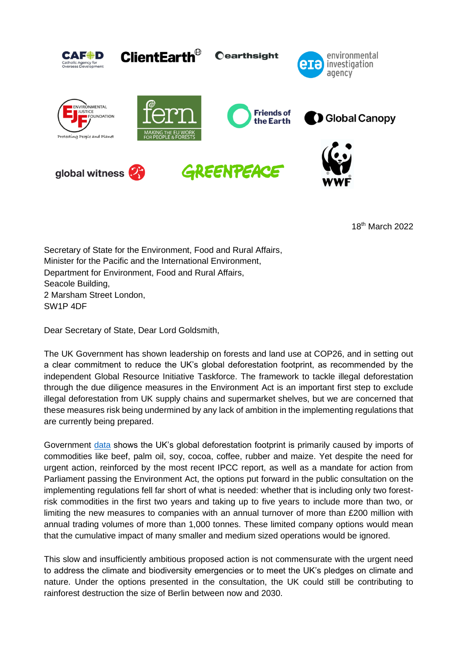

18th March 2022

Secretary of State for the Environment, Food and Rural Affairs, Minister for the Pacific and the International Environment, Department for Environment, Food and Rural Affairs, Seacole Building, 2 Marsham Street London, SW1P 4DF

Dear Secretary of State, Dear Lord Goldsmith,

The UK Government has shown leadership on forests and land use at COP26, and in setting out a clear commitment to reduce the UK's global deforestation footprint, as recommended by the independent Global Resource Initiative Taskforce. The framework to tackle illegal deforestation through the due diligence measures in the Environment Act is an important first step to exclude illegal deforestation from UK supply chains and supermarket shelves, but we are concerned that these measures risk being undermined by any lack of ambition in the implementing regulations that are currently being prepared.

Government [data](https://commodityfootprints.earth/) shows the UK's global deforestation footprint is primarily caused by imports of commodities like beef, palm oil, soy, cocoa, coffee, rubber and maize. Yet despite the need for urgent action, reinforced by the most recent IPCC report, as well as a mandate for action from Parliament passing the Environment Act, the options put forward in the public consultation on the implementing regulations fell far short of what is needed: whether that is including only two forestrisk commodities in the first two years and taking up to five years to include more than two, or limiting the new measures to companies with an annual turnover of more than £200 million with annual trading volumes of more than 1,000 tonnes. These limited company options would mean that the cumulative impact of many smaller and medium sized operations would be ignored.

This slow and insufficiently ambitious proposed action is not commensurate with the urgent need to address the climate and biodiversity emergencies or to meet the UK's pledges on climate and nature. Under the options presented in the consultation, the UK could still be contributing to rainforest destruction the size of Berlin between now and 2030.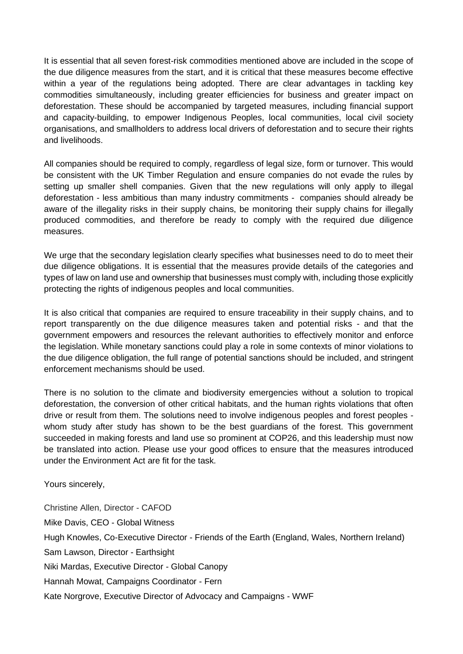It is essential that all seven forest-risk commodities mentioned above are included in the scope of the due diligence measures from the start, and it is critical that these measures become effective within a year of the regulations being adopted. There are clear advantages in tackling key commodities simultaneously, including greater efficiencies for business and greater impact on deforestation. These should be accompanied by targeted measures, including financial support and capacity-building, to empower Indigenous Peoples, local communities, local civil society organisations, and smallholders to address local drivers of deforestation and to secure their rights and livelihoods.

All companies should be required to comply, regardless of legal size, form or turnover. This would be consistent with the UK Timber Regulation and ensure companies do not evade the rules by setting up smaller shell companies. Given that the new regulations will only apply to illegal deforestation - less ambitious than many industry commitments - companies should already be aware of the illegality risks in their supply chains, be monitoring their supply chains for illegally produced commodities, and therefore be ready to comply with the required due diligence measures.

We urge that the secondary legislation clearly specifies what businesses need to do to meet their due diligence obligations. It is essential that the measures provide details of the categories and types of law on land use and ownership that businesses must comply with, including those explicitly protecting the rights of indigenous peoples and local communities.

It is also critical that companies are required to ensure traceability in their supply chains, and to report transparently on the due diligence measures taken and potential risks - and that the government empowers and resources the relevant authorities to effectively monitor and enforce the legislation. While monetary sanctions could play a role in some contexts of minor violations to the due diligence obligation, the full range of potential sanctions should be included, and stringent enforcement mechanisms should be used.

There is no solution to the climate and biodiversity emergencies without a solution to tropical deforestation, the conversion of other critical habitats, and the human rights violations that often drive or result from them. The solutions need to involve indigenous peoples and forest peoples whom study after study has shown to be the best guardians of the forest. This government succeeded in making forests and land use so prominent at COP26, and this leadership must now be translated into action. Please use your good offices to ensure that the measures introduced under the Environment Act are fit for the task.

Yours sincerely,

Christine Allen, Director - CAFOD Mike Davis, CEO - Global Witness Hugh Knowles, Co-Executive Director - Friends of the Earth (England, Wales, Northern Ireland) Sam Lawson, Director - Earthsight Niki Mardas, Executive Director - Global Canopy Hannah Mowat, Campaigns Coordinator - Fern Kate Norgrove, Executive Director of Advocacy and Campaigns - WWF